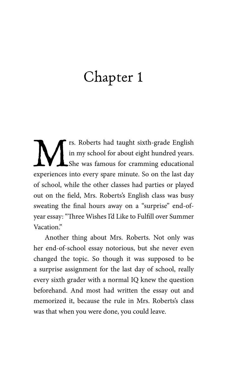## Chapter 1

Trs. Roberts had taught sixth-grade English<br>in my school for about eight hundred years.<br>She was famous for cramming educational<br>experiences into every space minute. So on the last day. in my school for about eight hundred years. She was famous for cramming educational experiences into every spare minute. So on the last day of school, while the other classes had parties or played out on the field, Mrs. Roberts's English class was busy sweating the final hours away on a "surprise" end-ofyear essay: "Three Wishes I'd Like to Fulfill over Summer Vacation<sup>"</sup>

Another thing about Mrs. Roberts. Not only was her end-of-school essay notorious, but she never even changed the topic. So though it was supposed to be a surprise assignment for the last day of school, really every sixth grader with a normal IQ knew the question beforehand. And most had written the essay out and memorized it, because the rule in Mrs. Roberts's class was that when you were done, you could leave.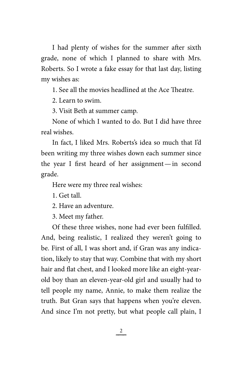I had plenty of wishes for the summer after sixth grade, none of which I planned to share with Mrs. Roberts. So I wrote a fake essay for that last day, listing my wishes as:

1. See all the movies headlined at the Ace Theatre.

2. Learn to swim.

3. Visit Beth at summer camp.

None of which I wanted to do. But I did have three real wishes.

In fact, I liked Mrs. Roberts's idea so much that I'd been writing my three wishes down each summer since the year I first heard of her assignment— in second grade.

Here were my three real wishes:

1. Get tall.

2. Have an adventure.

3. Meet my father.

Of these three wishes, none had ever been fulfilled. And, being realistic, I realized they weren't going to be. First of all, I was short and, if Gran was any indication, likely to stay that way. Combine that with my short hair and flat chest, and I looked more like an eight-yearold boy than an eleven-year-old girl and usually had to tell people my name, Annie, to make them realize the truth. But Gran says that happens when you're eleven. And since I'm not pretty, but what people call plain, I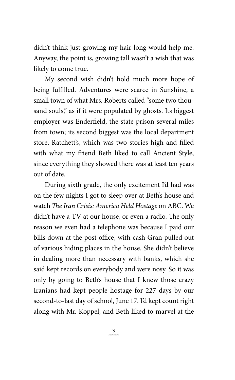didn't think just growing my hair long would help me. Anyway, the point is, growing tall wasn't a wish that was likely to come true.

My second wish didn't hold much more hope of being fulfilled. Adventures were scarce in Sunshine, a small town of what Mrs. Roberts called "some two thousand souls," as if it were populated by ghosts. Its biggest employer was Enderfield, the state prison several miles from town; its second biggest was the local department store, Ratchett's, which was two stories high and filled with what my friend Beth liked to call Ancient Style, since everything they showed there was at least ten years out of date.

During sixth grade, the only excitement I'd had was on the few nights I got to sleep over at Beth's house and watch *The Iran Crisis: America Held Hostage* on ABC. We didn't have a TV at our house, or even a radio. The only reason we even had a telephone was because I paid our bills down at the post office, with cash Gran pulled out of various hiding places in the house. She didn't believe in dealing more than necessary with banks, which she said kept records on everybody and were nosy. So it was only by going to Beth's house that I knew those crazy Iranians had kept people hostage for 227 days by our second-to-last day of school, June 17. I'd kept count right along with Mr. Koppel, and Beth liked to marvel at the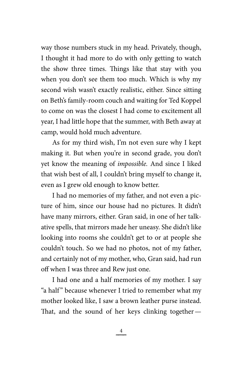way those numbers stuck in my head. Privately, though, I thought it had more to do with only getting to watch the show three times. Things like that stay with you when you don't see them too much. Which is why my second wish wasn't exactly realistic, either. Since sitting on Beth's family-room couch and waiting for Ted Koppel to come on was the closest I had come to excitement all year, I had little hope that the summer, with Beth away at camp, would hold much adventure.

As for my third wish, I'm not even sure why I kept making it. But when you're in second grade, you don't yet know the meaning of *impossible.* And since I liked that wish best of all, I couldn't bring myself to change it, even as I grew old enough to know better.

I had no memories of my father, and not even a picture of him, since our house had no pictures. It didn't have many mirrors, either. Gran said, in one of her talkative spells, that mirrors made her uneasy. She didn't like looking into rooms she couldn't get to or at people she couldn't touch. So we had no photos, not of my father, and certainly not of my mother, who, Gran said, had run off when I was three and Rew just one.

I had one and a half memories of my mother. I say "a half" because whenever I tried to remember what my mother looked like, I saw a brown leather purse instead. That, and the sound of her keys clinking together—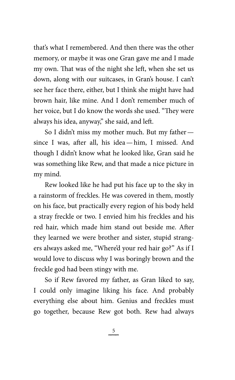that's what I remembered. And then there was the other memory, or maybe it was one Gran gave me and I made my own. That was of the night she left, when she set us down, along with our suitcases, in Gran's house. I can't see her face there, either, but I think she might have had brown hair, like mine. And I don't remember much of her voice, but I do know the words she used. "They were always his idea, anyway," she said, and left.

So I didn't miss my mother much. But my father since I was, after all, his idea— him, I missed. And though I didn't know what he looked like, Gran said he was something like Rew, and that made a nice picture in my mind.

Rew looked like he had put his face up to the sky in a rainstorm of freckles. He was covered in them, mostly on his face, but practically every region of his body held a stray freckle or two. I envied him his freckles and his red hair, which made him stand out beside me. After they learned we were brother and sister, stupid strangers always asked me, "Where'd your red hair go?" As if I would love to discuss why I was boringly brown and the freckle god had been stingy with me.

So if Rew favored my father, as Gran liked to say, I could only imagine liking his face. And probably everything else about him. Genius and freckles must go together, because Rew got both. Rew had always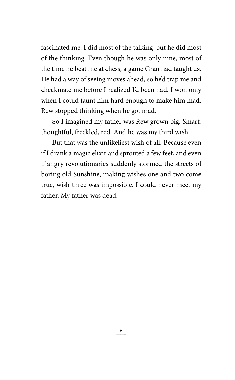fascinated me. I did most of the talking, but he did most of the thinking. Even though he was only nine, most of the time he beat me at chess, a game Gran had taught us. He had a way of seeing moves ahead, so he'd trap me and checkmate me before I realized I'd been had. I won only when I could taunt him hard enough to make him mad. Rew stopped thinking when he got mad.

So I imagined my father was Rew grown big. Smart, thoughtful, freckled, red. And he was my third wish.

But that was the unlikeliest wish of all. Because even if I drank a magic elixir and sprouted a few feet, and even if angry revolutionaries suddenly stormed the streets of boring old Sunshine, making wishes one and two come true, wish three was impossible. I could never meet my father. My father was dead.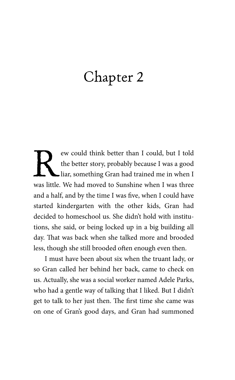## Chapter 2

EV could think better than I could, but I told<br>the better story, probably because I was a good<br>liar, something Gran had trained me in when I<br>was little. We had moved to Sunshine when I was three the better story, probably because I was a good liar, something Gran had trained me in when I was little. We had moved to Sunshine when I was three and a half, and by the time I was five, when I could have started kindergarten with the other kids, Gran had decided to homeschool us. She didn't hold with institutions, she said, or being locked up in a big building all day. That was back when she talked more and brooded less, though she still brooded often enough even then.

I must have been about six when the truant lady, or so Gran called her behind her back, came to check on us. Actually, she was a social worker named Adele Parks, who had a gentle way of talking that I liked. But I didn't get to talk to her just then. The first time she came was on one of Gran's good days, and Gran had summoned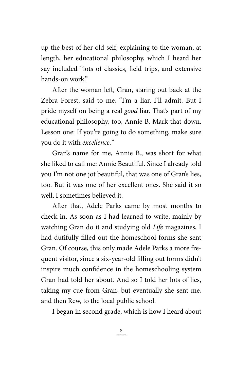up the best of her old self, explaining to the woman, at length, her educational philosophy, which I heard her say included "lots of classics, field trips, and extensive hands-on work."

After the woman left, Gran, staring out back at the Zebra Forest, said to me, "I'm a liar, I'll admit. But I pride myself on being a real *good* liar. That's part of my educational philosophy, too, Annie B. Mark that down. Lesson one: If you're going to do something, make sure you do it with *excellence.*"

Gran's name for me, Annie B., was short for what she liked to call me: Annie Beautiful. Since I already told you I'm not one jot beautiful, that was one of Gran's lies, too. But it was one of her excellent ones. She said it so well, I sometimes believed it.

After that, Adele Parks came by most months to check in. As soon as I had learned to write, mainly by watching Gran do it and studying old *Life* magazines, I had dutifully filled out the homeschool forms she sent Gran. Of course, this only made Adele Parks a more frequent visitor, since a six-year-old filling out forms didn't inspire much confidence in the homeschooling system Gran had told her about. And so I told her lots of lies, taking my cue from Gran, but eventually she sent me, and then Rew, to the local public school.

I began in second grade, which is how I heard about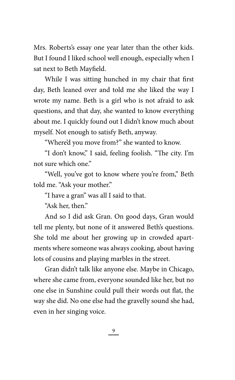Mrs. Roberts's essay one year later than the other kids. But I found I liked school well enough, especially when I sat next to Beth Mayfield.

While I was sitting hunched in my chair that first day, Beth leaned over and told me she liked the way I wrote my name. Beth is a girl who is not afraid to ask questions, and that day, she wanted to know everything about me. I quickly found out I didn't know much about myself. Not enough to satisfy Beth, anyway.

"Where'd you move from?" she wanted to know.

"I don't know," I said, feeling foolish. "The city. I'm not sure which one"

"Well, you've got to know where you're from," Beth told me. "Ask your mother."

"I have a gran" was all I said to that.

"Ask her, then."

And so I did ask Gran. On good days, Gran would tell me plenty, but none of it answered Beth's questions. She told me about her growing up in crowded apartments where someone was always cooking, about having lots of cousins and playing marbles in the street.

Gran didn't talk like anyone else. Maybe in Chicago, where she came from, everyone sounded like her, but no one else in Sunshine could pull their words out flat, the way she did. No one else had the gravelly sound she had, even in her singing voice.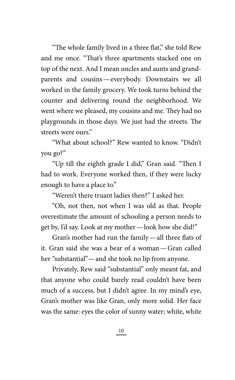"The whole family lived in a three flat," she told Rew and me once. "That's three apartments stacked one on top of the next. And I mean uncles and aunts and grandparents and cousins— everybody. Downstairs we all worked in the family grocery. We took turns behind the counter and delivering round the neighborhood. We went where we pleased, my cousins and me. They had no playgrounds in those days. We just had the streets. The streets were ours."

"What about school?" Rew wanted to know. "Didn't you go?"

"Up till the eighth grade I did," Gran said. "Then I had to work. Everyone worked then, if they were lucky enough to have a place to."

"Weren't there truant ladies then?" I asked her.

"Oh, not then, not when I was old as that. People overestimate the amount of schooling a person needs to get by, I'd say. Look at my mother— look how she did!"

Gran's mother had run the family— all three flats of it. Gran said she was a bear of a woman— Gran called her "substantial"— and she took no lip from anyone.

Privately, Rew said "substantial" only meant fat, and that anyone who could barely read couldn't have been much of a success, but I didn't agree. In my mind's eye, Gran's mother was like Gran, only more solid. Her face was the same: eyes the color of sunny water; white, white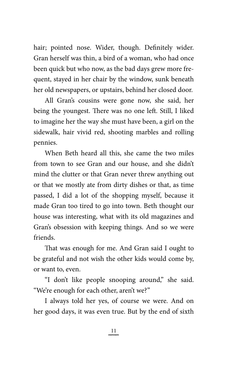hair; pointed nose. Wider, though. Definitely wider. Gran herself was thin, a bird of a woman, who had once been quick but who now, as the bad days grew more frequent, stayed in her chair by the window, sunk beneath her old newspapers, or upstairs, behind her closed door.

All Gran's cousins were gone now, she said, her being the youngest. There was no one left. Still, I liked to imagine her the way she must have been, a girl on the sidewalk, hair vivid red, shooting marbles and rolling pennies.

When Beth heard all this, she came the two miles from town to see Gran and our house, and she didn't mind the clutter or that Gran never threw anything out or that we mostly ate from dirty dishes or that, as time passed, I did a lot of the shopping myself, because it made Gran too tired to go into town. Beth thought our house was interesting, what with its old magazines and Gran's obsession with keeping things. And so we were friends.

That was enough for me. And Gran said I ought to be grateful and not wish the other kids would come by, or want to, even.

"I don't like people snooping around," she said. "We're enough for each other, aren't we?"

I always told her yes, of course we were. And on her good days, it was even true. But by the end of sixth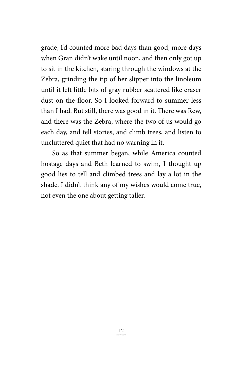grade, I'd counted more bad days than good, more days when Gran didn't wake until noon, and then only got up to sit in the kitchen, staring through the windows at the Zebra, grinding the tip of her slipper into the linoleum until it left little bits of gray rubber scattered like eraser dust on the floor. So I looked forward to summer less than I had. But still, there was good in it. There was Rew, and there was the Zebra, where the two of us would go each day, and tell stories, and climb trees, and listen to uncluttered quiet that had no warning in it.

So as that summer began, while America counted hostage days and Beth learned to swim, I thought up good lies to tell and climbed trees and lay a lot in the shade. I didn't think any of my wishes would come true, not even the one about getting taller.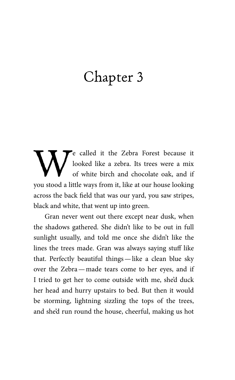## Chapter 3

We called it the Zebra Forest because it<br>looked like a zebra. Its trees were a mix<br>of white birch and chocolate oak, and if<br>wou stood a little ways from it like at our bouse looking looked like a zebra. Its trees were a mix of white birch and chocolate oak, and if you stood a little ways from it, like at our house looking across the back field that was our yard, you saw stripes, black and white, that went up into green.

Gran never went out there except near dusk, when the shadows gathered. She didn't like to be out in full sunlight usually, and told me once she didn't like the lines the trees made. Gran was always saying stuff like that. Perfectly beautiful things— like a clean blue sky over the Zebra— made tears come to her eyes, and if I tried to get her to come outside with me, she'd duck her head and hurry upstairs to bed. But then it would be storming, lightning sizzling the tops of the trees, and she'd run round the house, cheerful, making us hot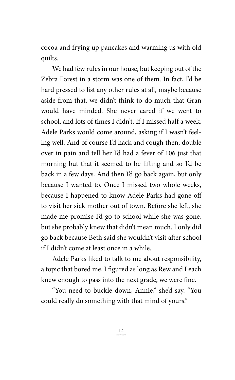cocoa and frying up pancakes and warming us with old quilts.

We had few rules in our house, but keeping out of the Zebra Forest in a storm was one of them. In fact, I'd be hard pressed to list any other rules at all, maybe because aside from that, we didn't think to do much that Gran would have minded. She never cared if we went to school, and lots of times I didn't. If I missed half a week, Adele Parks would come around, asking if I wasn't feeling well. And of course I'd hack and cough then, double over in pain and tell her I'd had a fever of 106 just that morning but that it seemed to be lifting and so I'd be back in a few days. And then I'd go back again, but only because I wanted to. Once I missed two whole weeks, because I happened to know Adele Parks had gone off to visit her sick mother out of town. Before she left, she made me promise I'd go to school while she was gone, but she probably knew that didn't mean much. I only did go back because Beth said she wouldn't visit after school if I didn't come at least once in a while.

Adele Parks liked to talk to me about responsibility, a topic that bored me. I figured as long as Rew and I each knew enough to pass into the next grade, we were fine.

"You need to buckle down, Annie," she'd say. "You could really do something with that mind of yours."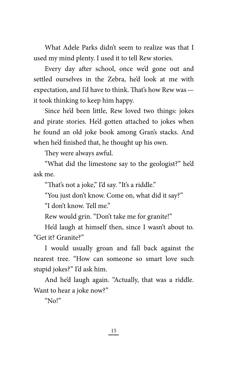What Adele Parks didn't seem to realize was that I used my mind plenty. I used it to tell Rew stories.

Every day after school, once we'd gone out and settled ourselves in the Zebra, he'd look at me with expectation, and I'd have to think. That's how Rew was it took thinking to keep him happy.

Since he'd been little, Rew loved two things: jokes and pirate stories. He'd gotten attached to jokes when he found an old joke book among Gran's stacks. And when he'd finished that, he thought up his own.

They were always awful.

"What did the limestone say to the geologist?" he'd ask me.

"That's not a joke," I'd say. "It's a riddle."

"You just don't know. Come on, what did it say?"

"I don't know. Tell me."

Rew would grin. "Don't take me for granite!"

He'd laugh at himself then, since I wasn't about to. "Get it? Granite?"

I would usually groan and fall back against the nearest tree. "How can someone so smart love such stupid jokes?" I'd ask him.

And he'd laugh again. "Actually, that was a riddle. Want to hear a joke now?"

"No!"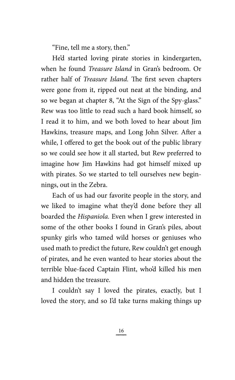"Fine, tell me a story, then."

He'd started loving pirate stories in kindergarten, when he found *Treasure Island* in Gran's bedroom. Or rather half of *Treasure Island.* The first seven chapters were gone from it, ripped out neat at the binding, and so we began at chapter 8, "At the Sign of the Spy-glass." Rew was too little to read such a hard book himself, so I read it to him, and we both loved to hear about Jim Hawkins, treasure maps, and Long John Silver. After a while, I offered to get the book out of the public library so we could see how it all started, but Rew preferred to imagine how Jim Hawkins had got himself mixed up with pirates. So we started to tell ourselves new beginnings, out in the Zebra.

Each of us had our favorite people in the story, and we liked to imagine what they'd done before they all boarded the *Hispaniola.* Even when I grew interested in some of the other books I found in Gran's piles, about spunky girls who tamed wild horses or geniuses who used math to predict the future, Rew couldn't get enough of pirates, and he even wanted to hear stories about the terrible blue-faced Captain Flint, who'd killed his men and hidden the treasure.

I couldn't say I loved the pirates, exactly, but I loved the story, and so I'd take turns making things up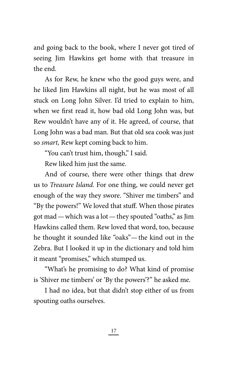and going back to the book, where I never got tired of seeing Jim Hawkins get home with that treasure in the end.

As for Rew, he knew who the good guys were, and he liked Jim Hawkins all night, but he was most of all stuck on Long John Silver. I'd tried to explain to him, when we first read it, how bad old Long John was, but Rew wouldn't have any of it. He agreed, of course, that Long John was a bad man. But that old sea cook was just so *smart,* Rew kept coming back to him.

"You can't trust him, though," I said.

Rew liked him just the same.

And of course, there were other things that drew us to *Treasure Island.* For one thing, we could never get enough of the way they swore. "Shiver me timbers" and "By the powers!" We loved that stuff. When those pirates got mad— which was a lot— they spouted "oaths," as Jim Hawkins called them. Rew loved that word, too, because he thought it sounded like "oaks"— the kind out in the Zebra. But I looked it up in the dictionary and told him it meant "promises," which stumped us.

"What's he promising to do? What kind of promise is 'Shiver me timbers' or 'By the powers'?" he asked me.

I had no idea, but that didn't stop either of us from spouting oaths ourselves.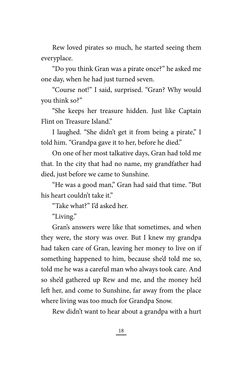Rew loved pirates so much, he started seeing them everyplace.

"Do you think Gran was a pirate once?" he asked me one day, when he had just turned seven.

"Course not!" I said, surprised. "Gran? Why would you think so?"

"She keeps her treasure hidden. Just like Captain Flint on Treasure Island."

I laughed. "She didn't get it from being a pirate," I told him. "Grandpa gave it to her, before he died."

On one of her most talkative days, Gran had told me that. In the city that had no name, my grandfather had died, just before we came to Sunshine.

"He was a good man," Gran had said that time. "But his heart couldn't take it"

"Take what?" I'd asked her.

"Living."

Gran's answers were like that sometimes, and when they were, the story was over. But I knew my grandpa had taken care of Gran, leaving her money to live on if something happened to him, because she'd told me so, told me he was a careful man who always took care. And so she'd gathered up Rew and me, and the money he'd left her, and come to Sunshine, far away from the place where living was too much for Grandpa Snow.

Rew didn't want to hear about a grandpa with a hurt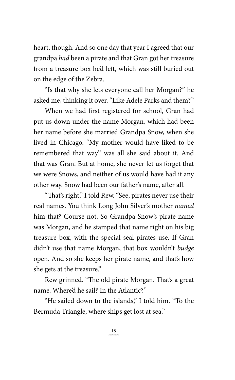heart, though. And so one day that year I agreed that our grandpa *had* been a pirate and that Gran got her treasure from a treasure box he'd left, which was still buried out on the edge of the Zebra.

"Is that why she lets everyone call her Morgan?" he asked me, thinking it over. "Like Adele Parks and them?"

When we had first registered for school, Gran had put us down under the name Morgan, which had been her name before she married Grandpa Snow, when she lived in Chicago. "My mother would have liked to be remembered that way" was all she said about it. And that was Gran. But at home, she never let us forget that we were Snows, and neither of us would have had it any other way. Snow had been our father's name, after all.

"That's right," I told Rew. "See, pirates never use their real names. You think Long John Silver's mother *named* him that? Course not. So Grandpa Snow's pirate name was Morgan, and he stamped that name right on his big treasure box, with the special seal pirates use. If Gran didn't use that name Morgan, that box wouldn't *budge* open. And so she keeps her pirate name, and that's how she gets at the treasure."

Rew grinned. "The old pirate Morgan. That's a great name. Where'd he sail? In the Atlantic?"

"He sailed down to the islands," I told him. "To the Bermuda Triangle, where ships get lost at sea."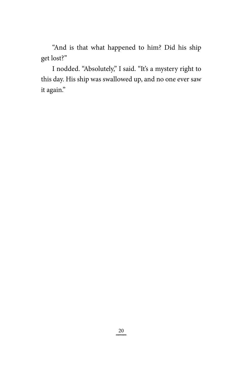"And is that what happened to him? Did his ship get lost?"

I nodded. "Absolutely," I said. "It's a mystery right to this day. His ship was swallowed up, and no one ever saw it again."